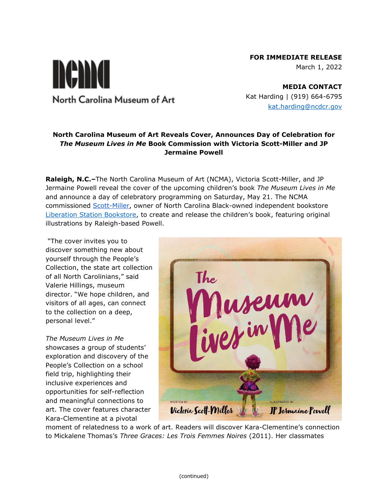# **FOR IMMEDIATE RELEASE**

March 1, 2022

nema North Carolina Museum of Art

**MEDIA CONTACT** Kat Harding | (919) 664-6795 [kat.harding@ncdcr.gov](mailto:kat.harding@ncdcr.gov)

# **North Carolina Museum of Art Reveals Cover, Announces Day of Celebration for**  *The Museum Lives in Me* **Book Commission with Victoria Scott-Miller and JP Jermaine Powell**

**Raleigh, N.C.–**The North Carolina Museum of Art (NCMA), Victoria Scott-Miller, and JP Jermaine Powell reveal the cover of the upcoming children's book *The Museum Lives in Me* and announce a day of celebratory programming on Saturday, May 21. The NCMA commissioned [Scott-Miller,](https://www.victoriascottmiller.com/) owner of North Carolina Black-owned independent bookstore [Liberation Station Bookstore](https://liberationstationbookstore.com/), to create and release the children's book, featuring original illustrations by Raleigh-based Powell.

"The cover invites you to discover something new about yourself through the People's Collection, the state art collection of all North Carolinians," said Valerie Hillings, museum director. "We hope children, and visitors of all ages, can connect to the collection on a deep, personal level."

*The Museum Lives in Me* showcases a group of students' exploration and discovery of the People's Collection on a school field trip, highlighting their inclusive experiences and opportunities for self-reflection and meaningful connections to art. The cover features character Kara-Clementine at a pivotal



moment of relatedness to a work of art. Readers will discover Kara-Clementine's connection to Mickalene Thomas's *Three Graces: Les Trois Femmes Noires* (2011). Her classmates